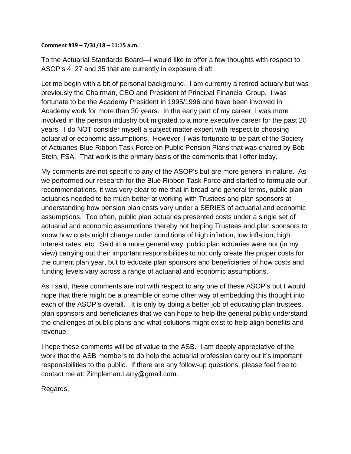## **Comment #39 – 7/31/18 – 11:15 a.m.**

To the Actuarial Standards Board—I would like to offer a few thoughts with respect to ASOP's 4, 27 and 35 that are currently in exposure draft.

Let me begin with a bit of personal background. I am currently a retired actuary but was previously the Chairman, CEO and President of Principal Financial Group. I was fortunate to be the Academy President in 1995/1996 and have been involved in Academy work for more than 30 years. In the early part of my career, I was more involved in the pension industry but migrated to a more executive career for the past 20 years. I do NOT consider myself a subject matter expert with respect to choosing actuarial or economic assumptions. However, I was fortunate to be part of the Society of Actuaries Blue Ribbon Task Force on Public Pension Plans that was chaired by Bob Stein, FSA. That work is the primary basis of the comments that I offer today.

My comments are not specific to any of the ASOP's but are more general in nature. As we performed our research for the Blue Ribbon Task Force and started to formulate our recommendations, it was very clear to me that in broad and general terms, public plan actuaries needed to be much better at working with Trustees and plan sponsors at understanding how pension plan costs vary under a SERIES of actuarial and economic assumptions. Too often, public plan actuaries presented costs under a single set of actuarial and economic assumptions thereby not helping Trustees and plan sponsors to know how costs might change under conditions of high inflation, low inflation, high interest rates, etc. Said in a more general way, public plan actuaries were not (in my view) carrying out their important responsibilities to not only create the proper costs for the current plan year, but to educate plan sponsors and beneficiaries of how costs and funding levels vary across a range of actuarial and economic assumptions.

As I said, these comments are not with respect to any one of these ASOP's but I would hope that there might be a preamble or some other way of embedding this thought into each of the ASOP's overall. It is only by doing a better job of educating plan trustees, plan sponsors and beneficiaries that we can hope to help the general public understand the challenges of public plans and what solutions might exist to help align benefits and revenue.

I hope these comments will be of value to the ASB. I am deeply appreciative of the work that the ASB members to do help the actuarial profession carry out it's important responsibilities to the public. If there are any follow-up questions, please feel free to contact me at: Zimpleman.Larry@gmail.com.

Regards,